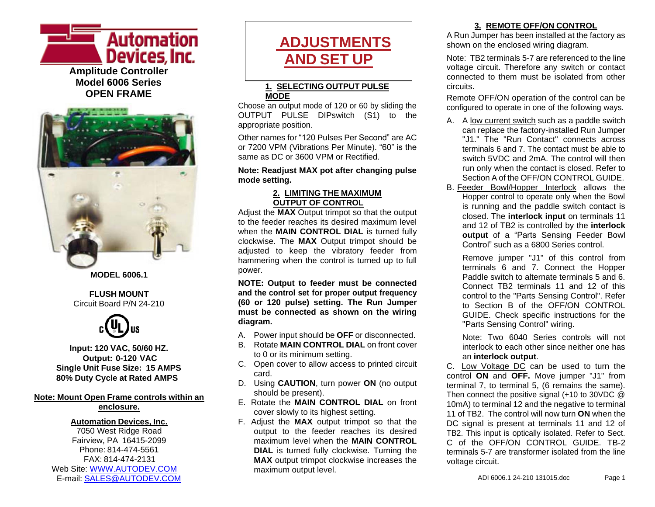

**OPEN FRAME**



**MODEL 6006.1**

#### **FLUSH MOUNT** Circuit Board P/N 24-210



**Input: 120 VAC, 50/60 HZ. Output: 0-120 VAC Single Unit Fuse Size: 15 AMPS 80% Duty Cycle at Rated AMPS**

#### **Note: Mount Open Frame controls within an enclosure.**

#### **Automation Devices, Inc.**

7050 West Ridge Road Fairview, PA 16415-2099 Phone: 814-474-5561 FAX: 814-474-2131 Web Site: [WWW.AUTODEV.COM](http://www.autodev.com/) E-mail: [SALES@AUTODEV.COM](mailto:SALES@AUTODEV.COM)

# **ADJUSTMENTS AND SET UP**

#### **1. SELECTING OUTPUT PULSE MODE**

Choose an output mode of 120 or 60 by sliding the OUTPUT PULSE DIPswitch (S1) to the appropriate position.

Other names for "120 Pulses Per Second" are AC or 7200 VPM (Vibrations Per Minute). "60" is the same as DC or 3600 VPM or Rectified.

#### **Note: Readjust MAX pot after changing pulse mode setting.**

#### **2. LIMITING THE MAXIMUM OUTPUT OF CONTROL**

Adjust the **MAX** Output trimpot so that the output to the feeder reaches its desired maximum level when the **MAIN CONTROL DIAL** is turned fully clockwise. The **MAX** Output trimpot should be adjusted to keep the vibratory feeder from hammering when the control is turned up to full power.

**NOTE: Output to feeder must be connected and the control set for proper output frequency (60 or 120 pulse) setting. The Run Jumper must be connected as shown on the wiring diagram.**

- A. Power input should be **OFF** or disconnected.
- B. Rotate **MAIN CONTROL DIAL** on front cover to 0 or its minimum setting.
- C. Open cover to allow access to printed circuit card.
- D. Using **CAUTION**, turn power **ON** (no output should be present).
- E. Rotate the **MAIN CONTROL DIAL** on front cover slowly to its highest setting.
- F. Adjust the **MAX** output trimpot so that the output to the feeder reaches its desired maximum level when the **MAIN CONTROL DIAL** is turned fully clockwise. Turning the **MAX** output trimpot clockwise increases the maximum output level.

#### **3. REMOTE OFF/ON CONTROL**

A Run Jumper has been installed at the factory as shown on the enclosed wiring diagram.

Note: TB2 terminals 5-7 are referenced to the line voltage circuit. Therefore any switch or contact connected to them must be isolated from other circuits.

Remote OFF/ON operation of the control can be configured to operate in one of the following ways.

- A. A low current switch such as a paddle switch can replace the factory-installed Run Jumper "J1." The "Run Contact" connects across terminals 6 and 7. The contact must be able to switch 5VDC and 2mA. The control will then run only when the contact is closed. Refer to Section A of the OFF/ON CONTROL GUIDE.
- B. Feeder Bowl/Hopper Interlock allows the Hopper control to operate only when the Bowl is running and the paddle switch contact is closed. The **interlock input** on terminals 11 and 12 of TB2 is controlled by the **interlock output** of a "Parts Sensing Feeder Bowl Control" such as a 6800 Series control.

Remove jumper "J1" of this control from terminals 6 and 7. Connect the Hopper Paddle switch to alternate terminals 5 and 6. Connect TB2 terminals 11 and 12 of this control to the "Parts Sensing Control". Refer to Section B of the OFF/ON CONTROL GUIDE. Check specific instructions for the "Parts Sensing Control" wiring.

Note: Two 6040 Series controls will not interlock to each other since neither one has an **interlock output**.

C. Low Voltage DC can be used to turn the control **ON** and **OFF.** Move jumper "J1" from terminal 7, to terminal 5, (6 remains the same). Then connect the positive signal (+10 to 30VDC @ 10mA) to terminal 12 and the negative to terminal 11 of TB2. The control will now turn **ON** when the DC signal is present at terminals 11 and 12 of TB2. This input is optically isolated. Refer to Sect. C of the OFF/ON CONTROL GUIDE TB-2 terminals 5-7 are transformer isolated from the line voltage circuit.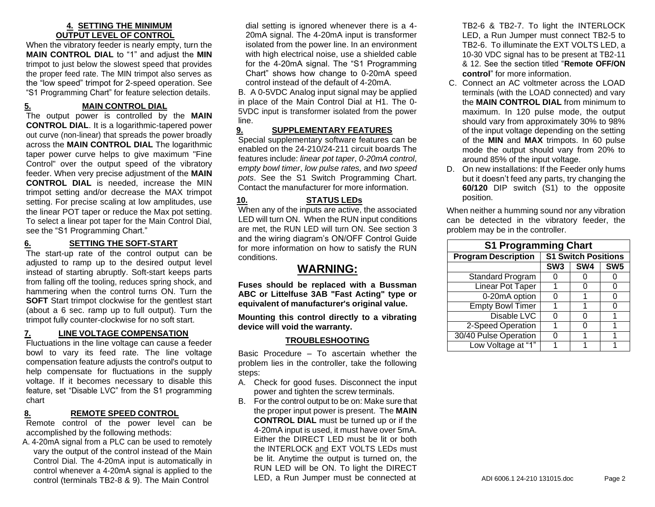#### **4. SETTING THE MINIMUM OUTPUT LEVEL OF CONTROL**

When the vibratory feeder is nearly empty, turn the **MAIN CONTROL DIAL** to "1" and adjust the **MIN** trimpot to just below the slowest speed that provides the proper feed rate. The MIN trimpot also serves as the "low speed" trimpot for 2-speed operation. See "S1 Programming Chart" for feature selection details.

#### **5. MAIN CONTROL DIAL**

The output power is controlled by the **MAIN CONTROL DIAL**. It is a logarithmic-tapered power out curve (non-linear) that spreads the power broadly across the **MAIN CONTROL DIAL** The logarithmic taper power curve helps to give maximum "Fine Control" over the output speed of the vibratory feeder. When very precise adjustment of the **MAIN CONTROL DIAL** is needed, increase the MIN trimpot setting and/or decrease the MAX trimpot setting. For precise scaling at low amplitudes, use the linear POT taper or reduce the Max pot setting. To select a linear pot taper for the Main Control Dial, see the "S1 Programming Chart."

### **6. SETTING THE SOFT-START**

The start-up rate of the control output can be adjusted to ramp up to the desired output level instead of starting abruptly. Soft-start keeps parts from falling off the tooling, reduces spring shock, and hammering when the control turns ON. Turn the **SOFT** Start trimpot clockwise for the gentlest start (about a 6 sec. ramp up to full output). Turn the trimpot fully counter-clockwise for no soft start.

#### **7. LINE VOLTAGE COMPENSATION**

Fluctuations in the line voltage can cause a feeder bowl to vary its feed rate. The line voltage compensation feature adjusts the control's output to help compensate for fluctuations in the supply voltage. If it becomes necessary to disable this feature, set "Disable LVC" from the S1 programming chart

#### **8. REMOTE SPEED CONTROL**

Remote control of the power level can be accomplished by the following methods:

A. 4-20mA signal from a PLC can be used to remotely vary the output of the control instead of the Main Control Dial. The 4-20mA input is automatically in control whenever a 4-20mA signal is applied to the control (terminals TB2-8 & 9). The Main Control

dial setting is ignored whenever there is a 4- 20mA signal. The 4-20mA input is transformer isolated from the power line. In an environment with high electrical noise, use a shielded cable for the 4-20mA signal. The "S1 Programming Chart" shows how change to 0-20mA speed control instead of the default of 4-20mA.

B. A 0-5VDC Analog input signal may be applied in place of the Main Control Dial at H1. The 0- 5VDC input is transformer isolated from the power line.

#### **9. SUPPLEMENTARY FEATURES**

Special supplementary software features can be enabled on the 24-210/24-211 circuit boards The features include: *linear pot taper*, *0-20mA control*, e*mpty bowl timer*, *low pulse rates,* and *two speed pots*. See the S1 Switch Programming Chart. Contact the manufacturer for more information.

### **10. STATUS LEDs**

When any of the inputs are active, the associated LED will turn ON. When the RUN input conditions are met, the RUN LED will turn ON. See section 3 and the wiring diagram's ON/OFF Control Guide for more information on how to satisfy the RUN conditions.

## **WARNING:**

**Fuses should be replaced with a Bussman ABC or Littelfuse 3AB "Fast Acting" type or equivalent of manufacturer's original value.**

**Mounting this control directly to a vibrating device will void the warranty.**

#### **TROUBLESHOOTING**

Basic Procedure – To ascertain whether the problem lies in the controller, take the following steps:

- A. Check for good fuses. Disconnect the input power and tighten the screw terminals.
- B. For the control output to be on: Make sure that the proper input power is present. The **MAIN CONTROL DIAL** must be turned up or if the 4-20mA input is used, it must have over 5mA. Either the DIRECT LED must be lit or both the INTERLOCK and EXT VOLTS LEDs must be lit. Anytime the output is turned on, the RUN LED will be ON. To light the DIRECT LED, a Run Jumper must be connected at

TB2-6 & TB2-7. To light the INTERLOCK LED, a Run Jumper must connect TB2-5 to TB2-6. To illuminate the EXT VOLTS LED, a 10-30 VDC signal has to be present at TB2-11 & 12. See the section titled "**Remote OFF/ON control**" for more information.

- C. Connect an AC voltmeter across the LOAD terminals (with the LOAD connected) and vary the **MAIN CONTROL DIAL** from minimum to maximum. In 120 pulse mode, the output should vary from approximately 30% to 98% of the input voltage depending on the setting of the **MIN** and **MAX** trimpots. In 60 pulse mode the output should vary from 20% to around 85% of the input voltage.
- D. On new installations: If the Feeder only hums but it doesn't feed any parts, try changing the **60/120** DIP switch (S1) to the opposite position.

When neither a humming sound nor any vibration can be detected in the vibratory feeder, the problem may be in the controller.

| <b>S1 Programming Chart</b> |                            |     |                 |
|-----------------------------|----------------------------|-----|-----------------|
| <b>Program Description</b>  | <b>S1 Switch Positions</b> |     |                 |
|                             | SW <sub>3</sub>            | SW4 | SW <sub>5</sub> |
| Standard Program            |                            |     |                 |
| <b>Linear Pot Taper</b>     |                            |     | 0               |
| 0-20mA option               |                            |     | 0               |
| <b>Empty Bowl Timer</b>     |                            |     | ი               |
| Disable LVC                 |                            | 0   |                 |
| 2-Speed Operation           |                            | 0   |                 |
| 30/40 Pulse Operation       |                            |     |                 |
| Low Voltage at "1"          |                            |     |                 |